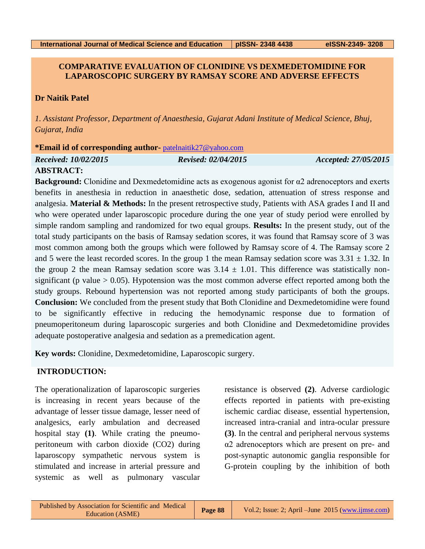# **COMPARATIVE EVALUATION OF CLONIDINE VS DEXMEDETOMIDINE FOR LAPAROSCOPIC SURGERY BY RAMSAY SCORE AND ADVERSE EFFECTS**

# **Dr Naitik Patel**

*1. Assistant Professor, Department of Anaesthesia, Gujarat Adani Institute of Medical Science, Bhuj, Gujarat, India*

### **\*Email id of corresponding author-** [patelnaitik27@yahoo.com](mailto:patelnaitik27@yahoo.com)

*Received: 10/02/2015 Revised: 02/04/2015 Accepted: 27/05/2015*

# **ABSTRACT:**

**Background:** Clonidine and Dexmedetomidine acts as exogenous agonist for α2 adrenoceptors and exerts benefits in anesthesia in reduction in anaesthetic dose, sedation, attenuation of stress response and analgesia. **Material & Methods:** In the present retrospective study, Patients with ASA grades I and II and who were operated under laparoscopic procedure during the one year of study period were enrolled by simple random sampling and randomized for two equal groups. **Results:** In the present study, out of the total study participants on the basis of Ramsay sedation scores, it was found that Ramsay score of 3 was most common among both the groups which were followed by Ramsay score of 4. The Ramsay score 2 and 5 were the least recorded scores. In the group 1 the mean Ramsay sedation score was  $3.31 \pm 1.32$ . In the group 2 the mean Ramsay sedation score was  $3.14 \pm 1.01$ . This difference was statistically nonsignificant (p value  $> 0.05$ ). Hypotension was the most common adverse effect reported among both the study groups. Rebound hypertension was not reported among study participants of both the groups. **Conclusion:** We concluded from the present study that Both Clonidine and Dexmedetomidine were found to be significantly effective in reducing the hemodynamic response due to formation of pneumoperitoneum during laparoscopic surgeries and both Clonidine and Dexmedetomidine provides adequate postoperative analgesia and sedation as a premedication agent.

**Key words:** Clonidine, Dexmedetomidine, Laparoscopic surgery.

# **INTRODUCTION:**

The operationalization of laparoscopic surgeries is increasing in recent years because of the advantage of lesser tissue damage, lesser need of analgesics, early ambulation and decreased hospital stay **(1)**. While crating the pneumoperitoneum with carbon dioxide (CO2) during laparoscopy sympathetic nervous system is stimulated and increase in arterial pressure and systemic as well as pulmonary vascular

resistance is observed **(2)**. Adverse cardiologic effects reported in patients with pre-existing ischemic cardiac disease, essential hypertension, increased intra-cranial and intra-ocular pressure **(3)**. In the central and peripheral nervous systems α2 adrenoceptors which are present on pre- and post-synaptic autonomic ganglia responsible for G-protein coupling by the inhibition of both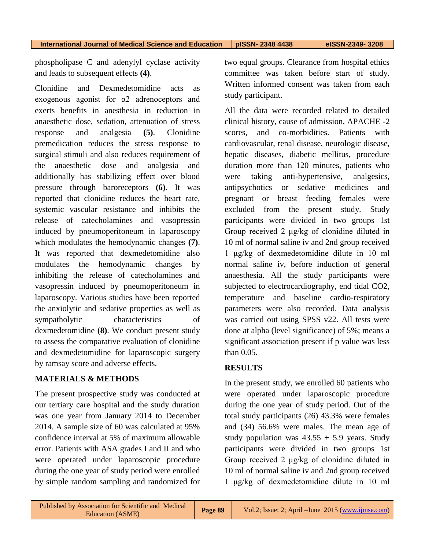**International Journal of Medical Science and Education pISSN- 2348 4438 eISSN-2349- 3208**

phospholipase C and adenylyl cyclase activity and leads to subsequent effects **(4)**.

Clonidine and Dexmedetomidine acts as exogenous agonist for  $\alpha$ 2 adrenoceptors and exerts benefits in anesthesia in reduction in anaesthetic dose, sedation, attenuation of stress response and analgesia **(5)**. Clonidine premedication reduces the stress response to surgical stimuli and also reduces requirement of the anaesthetic dose and analgesia and additionally has stabilizing effect over blood pressure through baroreceptors **(6)**. It was reported that clonidine reduces the heart rate, systemic vascular resistance and inhibits the release of catecholamines and vasopressin induced by pneumoperitoneum in laparoscopy which modulates the hemodynamic changes **(7)**. It was reported that dexmedetomidine also modulates the hemodynamic changes by inhibiting the release of catecholamines and vasopressin induced by pneumoperitoneum in laparoscopy. Various studies have been reported the anxiolytic and sedative properties as well as sympatholytic characteristics of dexmedetomidine **(8)**. We conduct present study to assess the comparative evaluation of clonidine and dexmedetomidine for laparoscopic surgery by ramsay score and adverse effects.

# **MATERIALS & METHODS**

The present prospective study was conducted at our tertiary care hospital and the study duration was one year from January 2014 to December 2014. A sample size of 60 was calculated at 95% confidence interval at 5% of maximum allowable error. Patients with ASA grades I and II and who were operated under laparoscopic procedure during the one year of study period were enrolled by simple random sampling and randomized for

two equal groups. Clearance from hospital ethics committee was taken before start of study. Written informed consent was taken from each study participant.

All the data were recorded related to detailed clinical history, cause of admission, APACHE -2 scores, and co-morbidities. Patients with cardiovascular, renal disease, neurologic disease, hepatic diseases, diabetic mellitus, procedure duration more than 120 minutes, patients who were taking anti-hypertensive, analgesics, antipsychotics or sedative medicines and pregnant or breast feeding females were excluded from the present study. Study participants were divided in two groups 1st Group received 2 μg/kg of clonidine diluted in 10 ml of normal saline iv and 2nd group received 1 μg/kg of dexmedetomidine dilute in 10 ml normal saline iv, before induction of general anaesthesia. All the study participants were subjected to electrocardiography, end tidal CO2, temperature and baseline cardio-respiratory parameters were also recorded. Data analysis was carried out using SPSS v22. All tests were done at alpha (level significance) of 5%; means a significant association present if p value was less than 0.05.

## **RESULTS**

In the present study, we enrolled 60 patients who were operated under laparoscopic procedure during the one year of study period. Out of the total study participants (26) 43.3% were females and (34) 56.6% were males. The mean age of study population was  $43.55 \pm 5.9$  years. Study participants were divided in two groups 1st Group received 2 μg/kg of clonidine diluted in 10 ml of normal saline iv and 2nd group received 1 μg/kg of dexmedetomidine dilute in 10 ml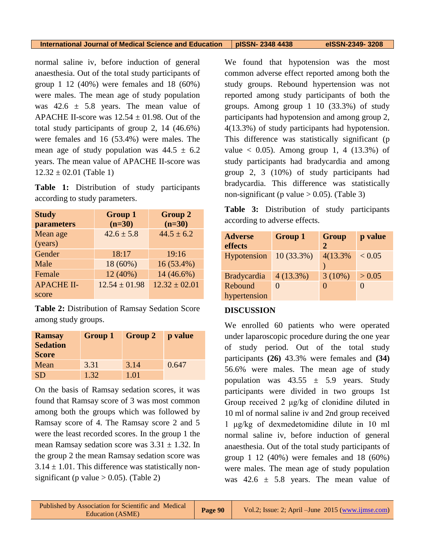#### **International Journal of Medical Science and Education pISSN- 2348 4438 eISSN-2349- 3208**

normal saline iv, before induction of general anaesthesia. Out of the total study participants of group 1 12 (40%) were females and 18 (60%) were males. The mean age of study population was  $42.6 \pm 5.8$  years. The mean value of APACHE II-score was  $12.54 \pm 01.98$ . Out of the total study participants of group 2, 14 (46.6%) were females and 16 (53.4%) were males. The mean age of study population was  $44.5 \pm 6.2$ years. The mean value of APACHE II-score was  $12.32 \pm 02.01$  (Table 1)

**Table 1:** Distribution of study participants according to study parameters.

| <b>Study</b><br>parameters | <b>Group 1</b><br>$(n=30)$ | <b>Group 2</b><br>$(n=30)$ |
|----------------------------|----------------------------|----------------------------|
| Mean age                   | $42.6 \pm 5.8$             | $44.5 \pm 6.2$             |
| (years)                    |                            |                            |
| Gender                     | 18:17                      | 19:16                      |
| Male                       | 18 (60%)                   | $16(53.4\%)$               |
| Female                     | 12 (40%)                   | 14 (46.6%)                 |
| <b>APACHE II-</b>          | $12.54 \pm 01.98$          | $12.32 \pm 02.01$          |
| score                      |                            |                            |

**Table 2:** Distribution of Ramsay Sedation Score among study groups.

| <b>Ramsay</b><br><b>Sedation</b><br><b>Score</b> | <b>Group 1</b> | <b>Group 2</b> | p value |
|--------------------------------------------------|----------------|----------------|---------|
| Mean                                             | 3.31           | 3.14           | 0.647   |
| <b>SD</b>                                        | 1.32           | 1.01           |         |

On the basis of Ramsay sedation scores, it was found that Ramsay score of 3 was most common among both the groups which was followed by Ramsay score of 4. The Ramsay score 2 and 5 were the least recorded scores. In the group 1 the mean Ramsay sedation score was  $3.31 \pm 1.32$ . In the group 2 the mean Ramsay sedation score was  $3.14 \pm 1.01$ . This difference was statistically nonsignificant (p value  $> 0.05$ ). (Table 2)

We found that hypotension was the most common adverse effect reported among both the study groups. Rebound hypertension was not reported among study participants of both the groups. Among group 1 10 (33.3%) of study participants had hypotension and among group 2, 4(13.3%) of study participants had hypotension. This difference was statistically significant (p value  $< 0.05$ ). Among group 1, 4 (13.3%) of study participants had bradycardia and among group 2, 3 (10%) of study participants had bradycardia. This difference was statistically non-significant (p value  $> 0.05$ ). (Table 3)

**Table 3:** Distribution of study participants according to adverse effects.

| <b>Adverse</b><br>effects | <b>Group 1</b> | <b>Group</b><br>2 | p value    |
|---------------------------|----------------|-------------------|------------|
| Hypotension               | $10(33.3\%)$   | 4(13.3%)          | ${}< 0.05$ |
| <b>Bradycardia</b>        | 4(13.3%)       | $3(10\%)$         | > 0.05     |
| Rebound                   |                | 0                 |            |
| hypertension              |                |                   |            |

# **DISCUSSION**

We enrolled 60 patients who were operated under laparoscopic procedure during the one year of study period. Out of the total study participants **(26)** 43.3% were females and **(34)** 56.6% were males. The mean age of study population was  $43.55 \pm 5.9$  years. Study participants were divided in two groups 1st Group received 2 μg/kg of clonidine diluted in 10 ml of normal saline iv and 2nd group received 1 μg/kg of dexmedetomidine dilute in 10 ml normal saline iv, before induction of general anaesthesia. Out of the total study participants of group 1 12 (40%) were females and 18 (60%) were males. The mean age of study population was  $42.6 \pm 5.8$  years. The mean value of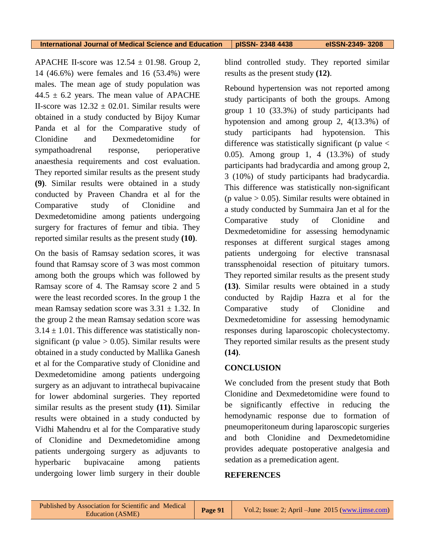APACHE II-score was  $12.54 \pm 01.98$ . Group 2, 14 (46.6%) were females and 16 (53.4%) were males. The mean age of study population was  $44.5 \pm 6.2$  years. The mean value of APACHE II-score was  $12.32 \pm 02.01$ . Similar results were obtained in a study conducted by Bijoy Kumar Panda et al for the Comparative study of Clonidine and Dexmedetomidine for sympathoadrenal response, perioperative anaesthesia requirements and cost evaluation. They reported similar results as the present study **(9)**. Similar results were obtained in a study conducted by Praveen Chandra et al for the Comparative study of Clonidine and Dexmedetomidine among patients undergoing surgery for fractures of femur and tibia. They reported similar results as the present study **(10)**.

On the basis of Ramsay sedation scores, it was found that Ramsay score of 3 was most common among both the groups which was followed by Ramsay score of 4. The Ramsay score 2 and 5 were the least recorded scores. In the group 1 the mean Ramsay sedation score was  $3.31 \pm 1.32$ . In the group 2 the mean Ramsay sedation score was  $3.14 \pm 1.01$ . This difference was statistically nonsignificant (p value  $> 0.05$ ). Similar results were obtained in a study conducted by Mallika Ganesh et al for the Comparative study of Clonidine and Dexmedetomidine among patients undergoing surgery as an adjuvant to intrathecal bupivacaine for lower abdominal surgeries. They reported similar results as the present study **(11)**. Similar results were obtained in a study conducted by Vidhi Mahendru et al for the Comparative study of Clonidine and Dexmedetomidine among patients undergoing surgery as adjuvants to hyperbaric bupivacaine among patients undergoing lower limb surgery in their double

blind controlled study. They reported similar results as the present study **(12)**.

Rebound hypertension was not reported among study participants of both the groups. Among group 1 10 (33.3%) of study participants had hypotension and among group 2, 4(13.3%) of study participants had hypotension. This difference was statistically significant ( $p$  value  $\lt$ 0.05). Among group 1, 4 (13.3%) of study participants had bradycardia and among group 2, 3 (10%) of study participants had bradycardia. This difference was statistically non-significant (p value  $> 0.05$ ). Similar results were obtained in a study conducted by Summaira Jan et al for the Comparative study of Clonidine and Dexmedetomidine for assessing hemodynamic responses at different surgical stages among patients undergoing for elective transnasal transsphenoidal resection of pituitary tumors. They reported similar results as the present study **(13)**. Similar results were obtained in a study conducted by Rajdip Hazra et al for the Comparative study of Clonidine and Dexmedetomidine for assessing hemodynamic responses during laparoscopic cholecystectomy. They reported similar results as the present study **(14)**.

## **CONCLUSION**

We concluded from the present study that Both Clonidine and Dexmedetomidine were found to be significantly effective in reducing the hemodynamic response due to formation of pneumoperitoneum during laparoscopic surgeries and both Clonidine and Dexmedetomidine provides adequate postoperative analgesia and sedation as a premedication agent.

### **REFERENCES**